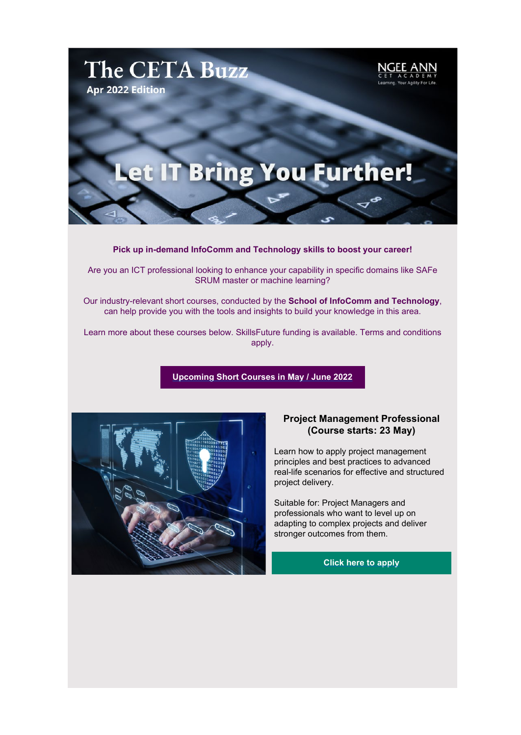

**Pick up in-demand InfoComm and Technology skills to boost your career!**

Are you an ICT professional looking to enhance your capability in specific domains like SAFe SRUM master or machine learning?

Our industry-relevant short courses, conducted by the **School of InfoComm and Technology**, can help provide you with the tools and insights to build your knowledge in this area.

Learn more about these courses below. SkillsFuture funding is available. Terms and conditions apply.

**[Upcoming Short Courses in May / June 2022](https://link1.pblc.app/c/475872295?alt_obj=cta&method=email&url=https%3A%2F%2Fwww.cet.np.edu.sg%2Fcourse-calendar%2F&hash=2223b5&chk=283705-d0ff19)**



## **Project Management Professional (Course starts: 23 May)**

Learn how to apply project management principles and best practices to advanced real-life scenarios for effective and structured project delivery.

Suitable for: Project Managers and professionals who want to level up on adapting to complex projects and deliver stronger outcomes from them.

**[Click here to apply](https://link1.pblc.app/c/475872290?alt_obj=cta&method=email&url=https%3A%2F%2Ffor.edu.sg%2Fproject-management-news&hash=45d7d2&chk=283705-d0ff19)**